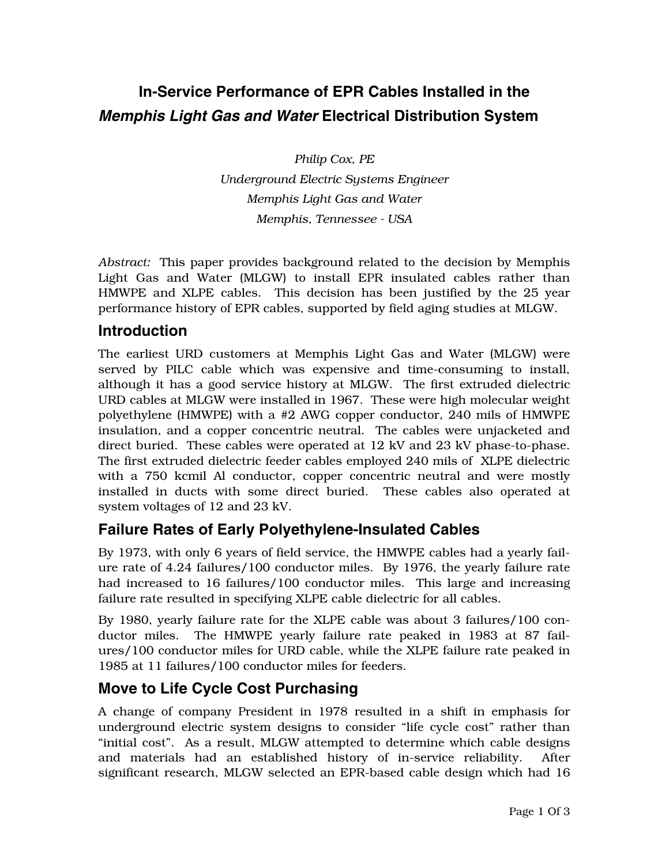# **In-Service Performance of EPR Cables Installed in the**  *Memphis Light Gas and Water* **Electrical Distribution System**

*Philip Cox, PE Underground Electric Systems Engineer Memphis Light Gas and Water Memphis, Tennessee - USA* 

*Abstract:* This paper provides background related to the decision by Memphis Light Gas and Water (MLGW) to install EPR insulated cables rather than HMWPE and XLPE cables. This decision has been justified by the 25 year performance history of EPR cables, supported by field aging studies at MLGW.

#### **Introduction**

The earliest URD customers at Memphis Light Gas and Water (MLGW) were served by PILC cable which was expensive and time-consuming to install, although it has a good service history at MLGW. The first extruded dielectric URD cables at MLGW were installed in 1967. These were high molecular weight polyethylene (HMWPE) with a #2 AWG copper conductor, 240 mils of HMWPE insulation, and a copper concentric neutral. The cables were unjacketed and direct buried. These cables were operated at 12 kV and 23 kV phase-to-phase. The first extruded dielectric feeder cables employed 240 mils of XLPE dielectric with a 750 kcmil Al conductor, copper concentric neutral and were mostly installed in ducts with some direct buried. These cables also operated at system voltages of 12 and 23 kV.

### **Failure Rates of Early Polyethylene-Insulated Cables**

By 1973, with only 6 years of field service, the HMWPE cables had a yearly failure rate of 4.24 failures/100 conductor miles. By 1976, the yearly failure rate had increased to 16 failures/100 conductor miles. This large and increasing failure rate resulted in specifying XLPE cable dielectric for all cables.

By 1980, yearly failure rate for the XLPE cable was about 3 failures/100 conductor miles. The HMWPE yearly failure rate peaked in 1983 at 87 failures/100 conductor miles for URD cable, while the XLPE failure rate peaked in 1985 at 11 failures/100 conductor miles for feeders.

### **Move to Life Cycle Cost Purchasing**

A change of company President in 1978 resulted in a shift in emphasis for underground electric system designs to consider "life cycle cost" rather than "initial cost". As a result, MLGW attempted to determine which cable designs and materials had an established history of in-service reliability. After significant research, MLGW selected an EPR-based cable design which had 16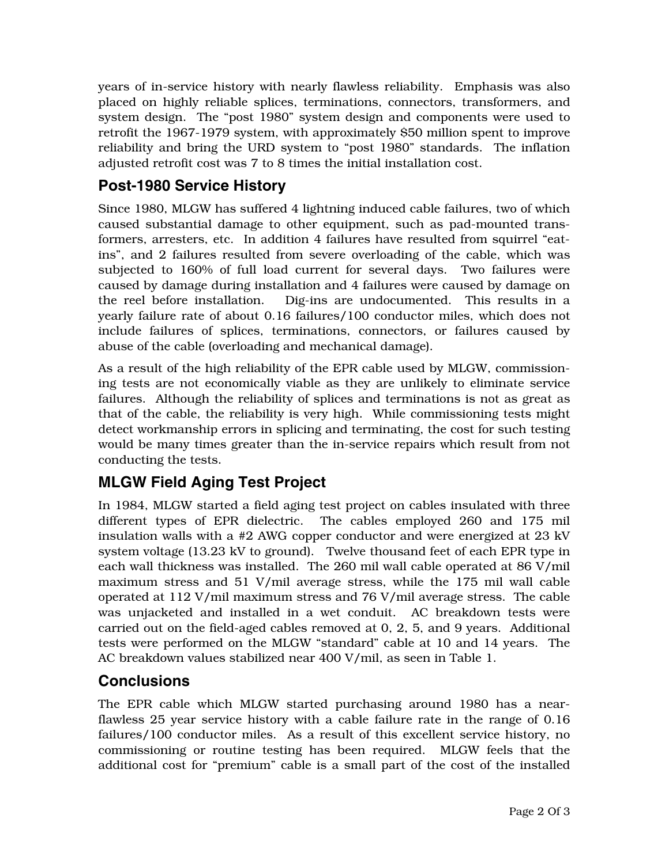years of in-service history with nearly flawless reliability. Emphasis was also placed on highly reliable splices, terminations, connectors, transformers, and system design. The "post 1980" system design and components were used to retrofit the 1967-1979 system, with approximately \$50 million spent to improve reliability and bring the URD system to "post 1980" standards. The inflation adjusted retrofit cost was 7 to 8 times the initial installation cost.

#### **Post-1980 Service History**

Since 1980, MLGW has suffered 4 lightning induced cable failures, two of which caused substantial damage to other equipment, such as pad-mounted transformers, arresters, etc. In addition 4 failures have resulted from squirrel "eatins", and 2 failures resulted from severe overloading of the cable, which was subjected to 160% of full load current for several days. Two failures were caused by damage during installation and 4 failures were caused by damage on the reel before installation. Dig-ins are undocumented. This results in a yearly failure rate of about 0.16 failures/100 conductor miles, which does not include failures of splices, terminations, connectors, or failures caused by abuse of the cable (overloading and mechanical damage).

As a result of the high reliability of the EPR cable used by MLGW, commissioning tests are not economically viable as they are unlikely to eliminate service failures. Although the reliability of splices and terminations is not as great as that of the cable, the reliability is very high. While commissioning tests might detect workmanship errors in splicing and terminating, the cost for such testing would be many times greater than the in-service repairs which result from not conducting the tests.

## **MLGW Field Aging Test Project**

In 1984, MLGW started a field aging test project on cables insulated with three different types of EPR dielectric. The cables employed 260 and 175 mil insulation walls with a #2 AWG copper conductor and were energized at 23 kV system voltage (13.23 kV to ground). Twelve thousand feet of each EPR type in each wall thickness was installed. The 260 mil wall cable operated at 86 V/mil maximum stress and 51 V/mil average stress, while the 175 mil wall cable operated at 112 V/mil maximum stress and 76 V/mil average stress. The cable was unjacketed and installed in a wet conduit.AC breakdown tests were carried out on the field-aged cables removed at 0, 2, 5, and 9 years. Additional tests were performed on the MLGW "standard" cable at 10 and 14 years. The AC breakdown values stabilized near 400 V/mil, as seen in Table 1.

### **Conclusions**

The EPR cable which MLGW started purchasing around 1980 has a nearflawless 25 year service history with a cable failure rate in the range of 0.16 failures/100 conductor miles. As a result of this excellent service history, no commissioning or routine testing has been required. MLGW feels that the additional cost for "premium" cable is a small part of the cost of the installed